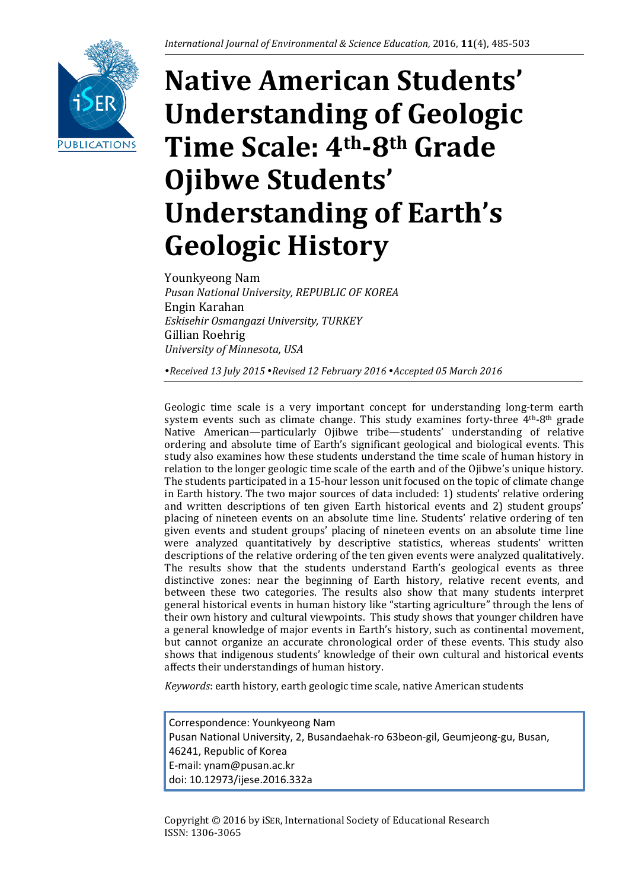

# **Native American Students' Understanding of Geologic Time Scale: 4th-8th Grade Ojibwe Students' Understanding of Earth's Geologic History**

Younkyeong Nam *Pusan National University, REPUBLIC OF KOREA* Engin Karahan *Eskisehir Osmangazi University, TURKEY* Gillian Roehrig *University of Minnesota, USA*

*Received 13 July 2015 Revised 12 February 2016 Accepted 05 March 2016*

Geologic time scale is a very important concept for understanding long-term earth system events such as climate change. This study examines forty-three  $4<sup>th</sup>-8<sup>th</sup>$  grade Native American—particularly Ojibwe tribe—students' understanding of relative ordering and absolute time of Earth's significant geological and biological events. This study also examines how these students understand the time scale of human history in relation to the longer geologic time scale of the earth and of the Ojibwe's unique history. The students participated in a 15-hour lesson unit focused on the topic of climate change in Earth history. The two major sources of data included: 1) students' relative ordering and written descriptions of ten given Earth historical events and 2) student groups' placing of nineteen events on an absolute time line. Students' relative ordering of ten given events and student groups' placing of nineteen events on an absolute time line were analyzed quantitatively by descriptive statistics, whereas students' written descriptions of the relative ordering of the ten given events were analyzed qualitatively. The results show that the students understand Earth's geological events as three distinctive zones: near the beginning of Earth history, relative recent events, and between these two categories. The results also show that many students interpret general historical events in human history like "starting agriculture" through the lens of their own history and cultural viewpoints. This study shows that younger children have a general knowledge of major events in Earth's history, such as continental movement, but cannot organize an accurate chronological order of these events. This study also shows that indigenous students' knowledge of their own cultural and historical events affects their understandings of human history.

*Keywords*: earth history, earth geologic time scale, native American students

Correspondence: Younkyeong Nam Pusan National University, 2, Busandaehak-ro 63beon-gil, Geumjeong-gu, Busan, 46241, Republic of Korea E-mail: ynam@pusan.ac.kr doi: 10.12973/ijese.2016.332a

Copyright © 2016 by iSER, International Society of Educational Research ISSN: 1306-3065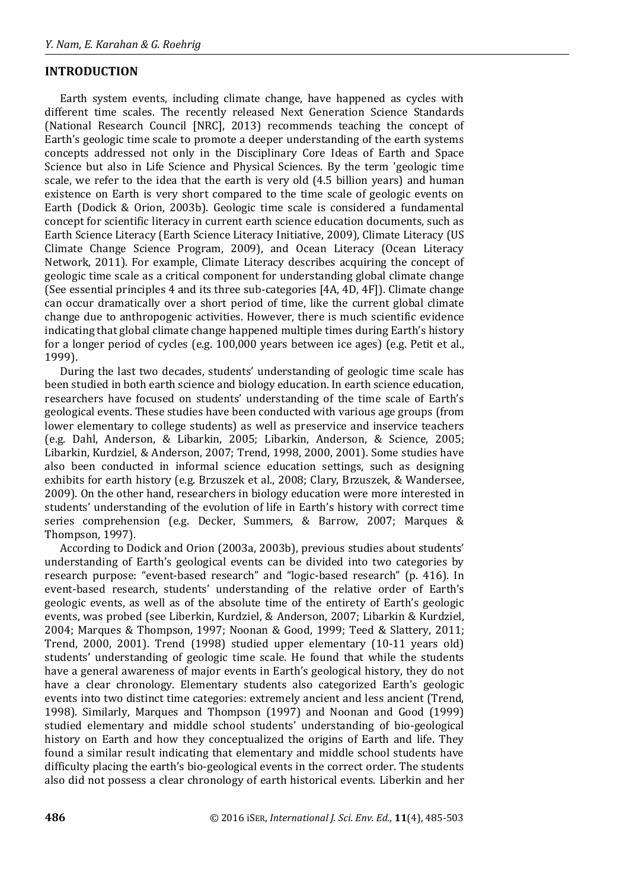# **INTRODUCTION**

Earth system events, including climate change, have happened as cycles with different time scales. The recently released Next Generation Science Standards (National Research Council [NRC], 2013) recommends teaching the concept of Earth's geologic time scale to promote a deeper understanding of the earth systems concepts addressed not only in the Disciplinary Core Ideas of Earth and Space Science but also in Life Science and Physical Sciences. By the term 'geologic time scale, we refer to the idea that the earth is very old (4.5 billion years) and human existence on Earth is very short compared to the time scale of geologic events on Earth (Dodick & Orion, 2003b). Geologic time scale is considered a fundamental concept for scientific literacy in current earth science education documents, such as Earth Science Literacy (Earth Science Literacy Initiative, 2009), Climate Literacy (US Climate Change Science Program, 2009), and Ocean Literacy (Ocean Literacy Network, 2011). For example, Climate Literacy describes acquiring the concept of geologic time scale as a critical component for understanding global climate change (See essential principles 4 and its three sub-categories [4A, 4D, 4F]). Climate change can occur dramatically over a short period of time, like the current global climate change due to anthropogenic activities. However, there is much scientific evidence indicating that global climate change happened multiple times during Earth's history for a longer period of cycles (e.g. 100,000 years between ice ages) (e.g. Petit et al., 1999).

During the last two decades, students' understanding of geologic time scale has been studied in both earth science and biology education. In earth science education, researchers have focused on students' understanding of the time scale of Earth's geological events. These studies have been conducted with various age groups (from lower elementary to college students) as well as preservice and inservice teachers (e.g. Dahl, Anderson, & Libarkin, 2005; Libarkin, Anderson, & Science, 2005; Libarkin, Kurdziel, & Anderson, 2007; Trend, 1998, 2000, 2001). Some studies have also been conducted in informal science education settings, such as designing exhibits for earth history (e.g. Brzuszek et al., 2008; Clary, Brzuszek, & Wandersee, 2009). On the other hand, researchers in biology education were more interested in students' understanding of the evolution of life in Earth's history with correct time series comprehension (e.g. Decker, Summers, & Barrow, 2007; Marques & Thompson, 1997).

According to Dodick and Orion (2003a, 2003b), previous studies about students' understanding of Earth's geological events can be divided into two categories by research purpose: "event-based research" and "logic-based research" (p. 416). In event-based research, students' understanding of the relative order of Earth's geologic events, as well as of the absolute time of the entirety of Earth's geologic events, was probed (see Liberkin, Kurdziel, & Anderson, 2007; Libarkin & Kurdziel, 2004; Marques & Thompson, 1997; Noonan & Good, 1999; Teed & Slattery, 2011; Trend, 2000, 2001). Trend (1998) studied upper elementary (10-11 years old) students' understanding of geologic time scale. He found that while the students have a general awareness of major events in Earth's geological history, they do not have a clear chronology. Elementary students also categorized Earth's geologic events into two distinct time categories: extremely ancient and less ancient (Trend, 1998). Similarly, Marques and Thompson (1997) and Noonan and Good (1999) studied elementary and middle school students' understanding of bio-geological history on Earth and how they conceptualized the origins of Earth and life. They found a similar result indicating that elementary and middle school students have difficulty placing the earth's bio-geological events in the correct order. The students also did not possess a clear chronology of earth historical events. Liberkin and her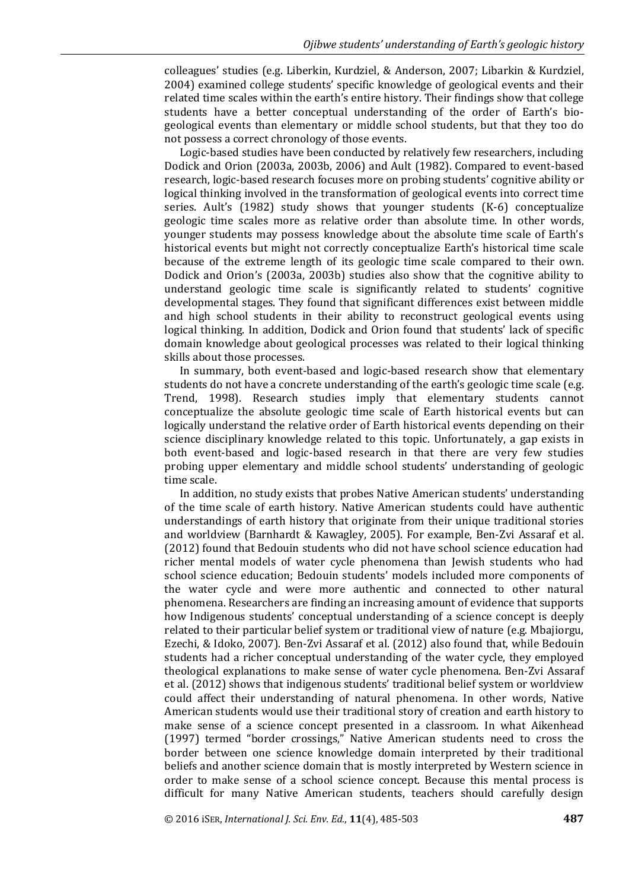colleagues' studies (e.g. Liberkin, Kurdziel, & Anderson, 2007; Libarkin & Kurdziel, 2004) examined college students' specific knowledge of geological events and their related time scales within the earth's entire history. Their findings show that college students have a better conceptual understanding of the order of Earth's biogeological events than elementary or middle school students, but that they too do not possess a correct chronology of those events.

Logic-based studies have been conducted by relatively few researchers, including Dodick and Orion (2003a, 2003b, 2006) and Ault (1982). Compared to event-based research, logic-based research focuses more on probing students' cognitive ability or logical thinking involved in the transformation of geological events into correct time series. Ault's (1982) study shows that younger students (K-6) conceptualize geologic time scales more as relative order than absolute time. In other words, younger students may possess knowledge about the absolute time scale of Earth's historical events but might not correctly conceptualize Earth's historical time scale because of the extreme length of its geologic time scale compared to their own. Dodick and Orion's (2003a, 2003b) studies also show that the cognitive ability to understand geologic time scale is significantly related to students' cognitive developmental stages. They found that significant differences exist between middle and high school students in their ability to reconstruct geological events using logical thinking. In addition, Dodick and Orion found that students' lack of specific domain knowledge about geological processes was related to their logical thinking skills about those processes.

In summary, both event-based and logic-based research show that elementary students do not have a concrete understanding of the earth's geologic time scale (e.g. Trend, 1998). Research studies imply that elementary students cannot conceptualize the absolute geologic time scale of Earth historical events but can logically understand the relative order of Earth historical events depending on their science disciplinary knowledge related to this topic. Unfortunately, a gap exists in both event-based and logic-based research in that there are very few studies probing upper elementary and middle school students' understanding of geologic time scale.

In addition, no study exists that probes Native American students' understanding of the time scale of earth history. Native American students could have authentic understandings of earth history that originate from their unique traditional stories and worldview (Barnhardt & Kawagley, 2005). For example, Ben-Zvi Assaraf et al. (2012) found that Bedouin students who did not have school science education had richer mental models of water cycle phenomena than Jewish students who had school science education; Bedouin students' models included more components of the water cycle and were more authentic and connected to other natural phenomena. Researchers are finding an increasing amount of evidence that supports how Indigenous students' conceptual understanding of a science concept is deeply related to their particular belief system or traditional view of nature (e.g. Mbajiorgu, Ezechi, & Idoko, 2007). Ben-Zvi Assaraf et al. (2012) also found that, while Bedouin students had a richer conceptual understanding of the water cycle, they employed theological explanations to make sense of water cycle phenomena. Ben-Zvi Assaraf et al. (2012) shows that indigenous students' traditional belief system or worldview could affect their understanding of natural phenomena. In other words, Native American students would use their traditional story of creation and earth history to make sense of a science concept presented in a classroom. In what Aikenhead (1997) termed "border crossings," Native American students need to cross the border between one science knowledge domain interpreted by their traditional beliefs and another science domain that is mostly interpreted by Western science in order to make sense of a school science concept. Because this mental process is difficult for many Native American students, teachers should carefully design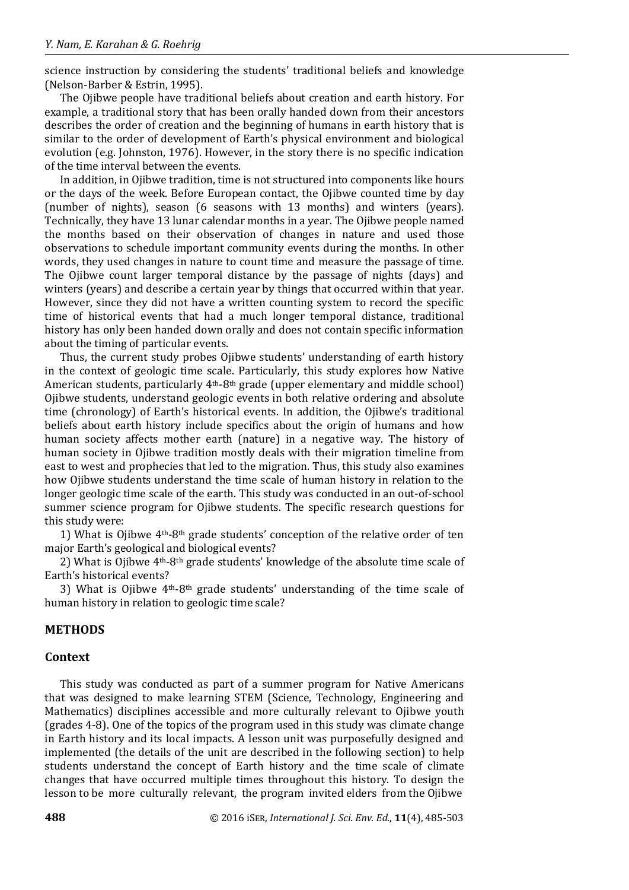science instruction by considering the students' traditional beliefs and knowledge (Nelson-Barber & Estrin, 1995).

The Ojibwe people have traditional beliefs about creation and earth history. For example, a traditional story that has been orally handed down from their ancestors describes the order of creation and the beginning of humans in earth history that is similar to the order of development of Earth's physical environment and biological evolution (e.g. Johnston, 1976). However, in the story there is no specific indication of the time interval between the events.

In addition, in Ojibwe tradition, time is not structured into components like hours or the days of the week. Before European contact, the Ojibwe counted time by day (number of nights), season (6 seasons with 13 months) and winters (years). Technically, they have 13 lunar calendar months in a year. The Ojibwe people named the months based on their observation of changes in nature and used those observations to schedule important community events during the months. In other words, they used changes in nature to count time and measure the passage of time. The Oiibwe count larger temporal distance by the passage of nights (days) and winters (years) and describe a certain year by things that occurred within that year. However, since they did not have a written counting system to record the specific time of historical events that had a much longer temporal distance, traditional history has only been handed down orally and does not contain specific information about the timing of particular events.

Thus, the current study probes Ojibwe students' understanding of earth history in the context of geologic time scale. Particularly, this study explores how Native American students, particularly  $4<sup>th</sup>-8<sup>th</sup>$  grade (upper elementary and middle school) Ojibwe students, understand geologic events in both relative ordering and absolute time (chronology) of Earth's historical events. In addition, the Ojibwe's traditional beliefs about earth history include specifics about the origin of humans and how human society affects mother earth (nature) in a negative way. The history of human society in Ojibwe tradition mostly deals with their migration timeline from east to west and prophecies that led to the migration. Thus, this study also examines how Ojibwe students understand the time scale of human history in relation to the longer geologic time scale of the earth. This study was conducted in an out-of-school summer science program for Ojibwe students. The specific research questions for this study were:

1) What is Ojibwe 4th-8th grade students' conception of the relative order of ten major Earth's geological and biological events?

2) What is Ojibwe 4th-8th grade students' knowledge of the absolute time scale of Earth's historical events?

3) What is Ojibwe  $4<sup>th</sup>$ -8<sup>th</sup> grade students' understanding of the time scale of human history in relation to geologic time scale?

## **METHODS**

#### **Context**

This study was conducted as part of a summer program for Native Americans that was designed to make learning STEM (Science, Technology, Engineering and Mathematics) disciplines accessible and more culturally relevant to Ojibwe youth (grades 4-8). One of the topics of the program used in this study was climate change in Earth history and its local impacts. A lesson unit was purposefully designed and implemented (the details of the unit are described in the following section) to help students understand the concept of Earth history and the time scale of climate changes that have occurred multiple times throughout this history. To design the lesson to be more culturally relevant, the program invited elders from the Ojibwe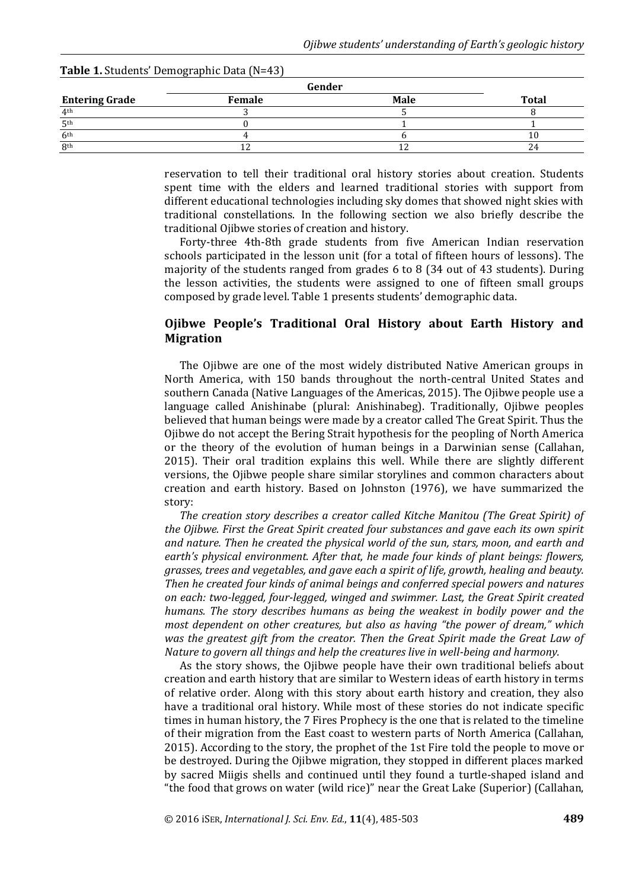| Female | <b>Male</b> | <b>Total</b> |
|--------|-------------|--------------|
|        |             |              |
|        |             |              |
|        |             |              |
|        |             | 24           |
|        |             | Gender       |

#### **Table 1.** Students' Demographic Data (N=43)

reservation to tell their traditional oral history stories about creation. Students spent time with the elders and learned traditional stories with support from different educational technologies including sky domes that showed night skies with traditional constellations. In the following section we also briefly describe the traditional Ojibwe stories of creation and history.

Forty-three 4th-8th grade students from five American Indian reservation schools participated in the lesson unit (for a total of fifteen hours of lessons). The majority of the students ranged from grades 6 to 8 (34 out of 43 students). During the lesson activities, the students were assigned to one of fifteen small groups composed by grade level. Table 1 presents students' demographic data.

# **Ojibwe People's Traditional Oral History about Earth History and Migration**

The Ojibwe are one of the most widely distributed Native American groups in North America, with 150 bands throughout the north-central United States and southern Canada (Native Languages of the Americas, 2015). The Ojibwe people use a language called Anishinabe (plural: Anishinabeg). Traditionally, Ojibwe peoples believed that human beings were made by a creator called The Great Spirit. Thus the Ojibwe do not accept the Bering Strait hypothesis for the peopling of North America or the theory of the evolution of human beings in a Darwinian sense (Callahan, 2015). Their oral tradition explains this well. While there are slightly different versions, the Ojibwe people share similar storylines and common characters about creation and earth history. Based on Johnston (1976), we have summarized the story:

*The creation story describes a creator called Kitche Manitou (The Great Spirit) of the Ojibwe. First the Great Spirit created four substances and gave each its own spirit and nature. Then he created the physical world of the sun, stars, moon, and earth and earth's physical environment. After that, he made four kinds of plant beings: flowers, grasses, trees and vegetables, and gave each a spirit of life, growth, healing and beauty. Then he created four kinds of animal beings and conferred special powers and natures on each: two-legged, four-legged, winged and swimmer. Last, the Great Spirit created humans. The story describes humans as being the weakest in bodily power and the most dependent on other creatures, but also as having "the power of dream," which was the greatest gift from the creator. Then the Great Spirit made the Great Law of Nature to govern all things and help the creatures live in well-being and harmony.* 

As the story shows, the Ojibwe people have their own traditional beliefs about creation and earth history that are similar to Western ideas of earth history in terms of relative order. Along with this story about earth history and creation, they also have a traditional oral history. While most of these stories do not indicate specific times in human history, the 7 Fires Prophecy is the one that is related to the timeline of their migration from the East coast to western parts of North America (Callahan, 2015). According to the story, the prophet of the 1st Fire told the people to move or be destroyed. During the Ojibwe migration, they stopped in different places marked by sacred Miigis shells and continued until they found a turtle-shaped island and "the food that grows on water (wild rice)" near the Great Lake (Superior) (Callahan,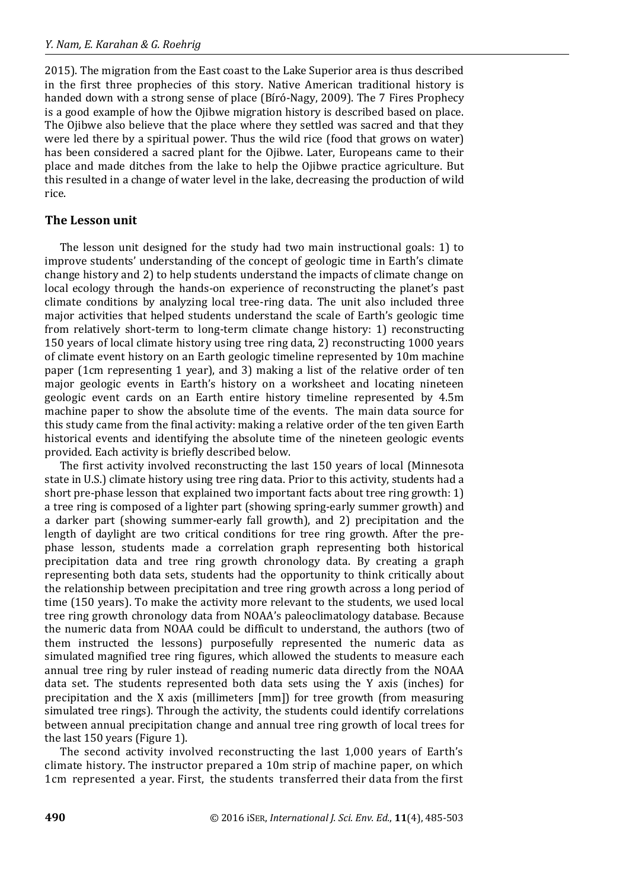2015). The migration from the East coast to the Lake Superior area is thus described in the first three prophecies of this story. Native American traditional history is handed down with a strong sense of place (Bíró-Nagy, 2009). The 7 Fires Prophecy is a good example of how the Ojibwe migration history is described based on place. The Ojibwe also believe that the place where they settled was sacred and that they were led there by a spiritual power. Thus the wild rice (food that grows on water) has been considered a sacred plant for the Ojibwe. Later, Europeans came to their place and made ditches from the lake to help the Ojibwe practice agriculture. But this resulted in a change of water level in the lake, decreasing the production of wild rice.

## **The Lesson unit**

The lesson unit designed for the study had two main instructional goals: 1) to improve students' understanding of the concept of geologic time in Earth's climate change history and 2) to help students understand the impacts of climate change on local ecology through the hands-on experience of reconstructing the planet's past climate conditions by analyzing local tree-ring data. The unit also included three major activities that helped students understand the scale of Earth's geologic time from relatively short-term to long-term climate change history: 1) reconstructing 150 years of local climate history using tree ring data, 2) reconstructing 1000 years of climate event history on an Earth geologic timeline represented by 10m machine paper (1cm representing 1 year), and 3) making a list of the relative order of ten major geologic events in Earth's history on a worksheet and locating nineteen geologic event cards on an Earth entire history timeline represented by 4.5m machine paper to show the absolute time of the events. The main data source for this study came from the final activity: making a relative order of the ten given Earth historical events and identifying the absolute time of the nineteen geologic events provided. Each activity is briefly described below.

The first activity involved reconstructing the last 150 years of local (Minnesota state in U.S.) climate history using tree ring data. Prior to this activity, students had a short pre-phase lesson that explained two important facts about tree ring growth: 1) a tree ring is composed of a lighter part (showing spring-early summer growth) and a darker part (showing summer-early fall growth), and 2) precipitation and the length of daylight are two critical conditions for tree ring growth. After the prephase lesson, students made a correlation graph representing both historical precipitation data and tree ring growth chronology data. By creating a graph representing both data sets, students had the opportunity to think critically about the relationship between precipitation and tree ring growth across a long period of time (150 years). To make the activity more relevant to the students, we used local tree ring growth chronology data from NOAA's paleoclimatology database. Because the numeric data from NOAA could be difficult to understand, the authors (two of them instructed the lessons) purposefully represented the numeric data as simulated magnified tree ring figures, which allowed the students to measure each annual tree ring by ruler instead of reading numeric data directly from the NOAA data set. The students represented both data sets using the Y axis (inches) for precipitation and the X axis (millimeters [mm]) for tree growth (from measuring simulated tree rings). Through the activity, the students could identify correlations between annual precipitation change and annual tree ring growth of local trees for the last 150 years (Figure 1).

The second activity involved reconstructing the last 1,000 years of Earth's climate history. The instructor prepared a 10m strip of machine paper, on which 1cm represented a year. First, the students transferred their data from the first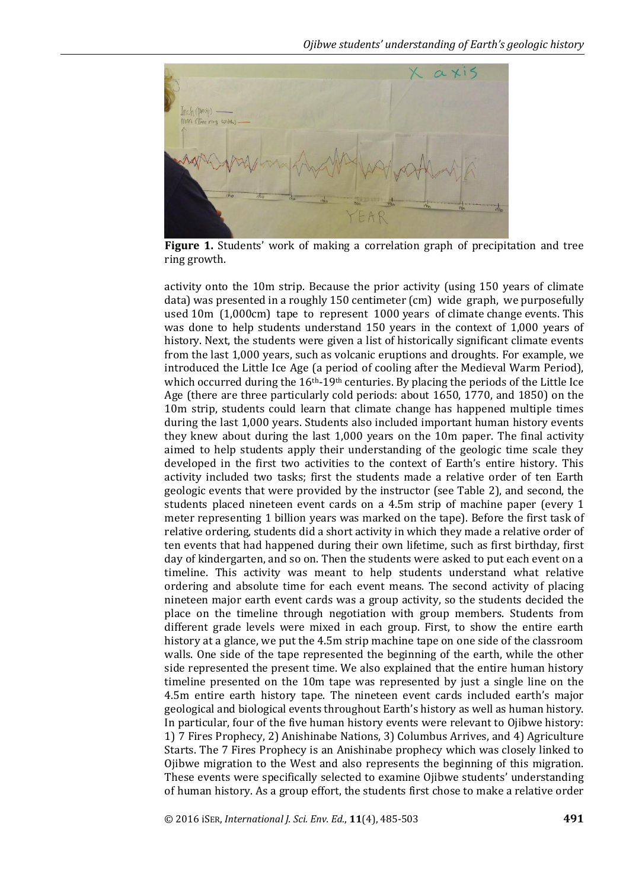

**Figure 1.** Students' work of making a correlation graph of precipitation and tree ring growth.

activity onto the 10m strip. Because the prior activity (using 150 years of climate data) was presented in a roughly 150 centimeter (cm) wide graph, we purposefully used 10m (1,000cm) tape to represent 1000 years of climate change events. This was done to help students understand 150 years in the context of 1,000 years of history. Next, the students were given a list of historically significant climate events from the last 1,000 years, such as volcanic eruptions and droughts. For example, we introduced the Little Ice Age (a period of cooling after the Medieval Warm Period), which occurred during the 16<sup>th</sup>-19<sup>th</sup> centuries. By placing the periods of the Little Ice Age (there are three particularly cold periods: about 1650, 1770, and 1850) on the 10m strip, students could learn that climate change has happened multiple times during the last 1,000 years. Students also included important human history events they knew about during the last 1,000 years on the 10m paper. The final activity aimed to help students apply their understanding of the geologic time scale they developed in the first two activities to the context of Earth's entire history. This activity included two tasks; first the students made a relative order of ten Earth geologic events that were provided by the instructor (see Table 2), and second, the students placed nineteen event cards on a 4.5m strip of machine paper (every 1 meter representing 1 billion years was marked on the tape). Before the first task of relative ordering, students did a short activity in which they made a relative order of ten events that had happened during their own lifetime, such as first birthday, first day of kindergarten, and so on. Then the students were asked to put each event on a timeline. This activity was meant to help students understand what relative ordering and absolute time for each event means. The second activity of placing nineteen major earth event cards was a group activity, so the students decided the place on the timeline through negotiation with group members. Students from different grade levels were mixed in each group. First, to show the entire earth history at a glance, we put the 4.5m strip machine tape on one side of the classroom walls. One side of the tape represented the beginning of the earth, while the other side represented the present time. We also explained that the entire human history timeline presented on the 10m tape was represented by just a single line on the 4.5m entire earth history tape. The nineteen event cards included earth's major geological and biological events throughout Earth's history as well as human history. In particular, four of the five human history events were relevant to Ojibwe history: 1) 7 Fires Prophecy, 2) Anishinabe Nations, 3) Columbus Arrives, and 4) Agriculture Starts. The 7 Fires Prophecy is an Anishinabe prophecy which was closely linked to Ojibwe migration to the West and also represents the beginning of this migration. These events were specifically selected to examine Ojibwe students' understanding of human history. As a group effort, the students first chose to make a relative order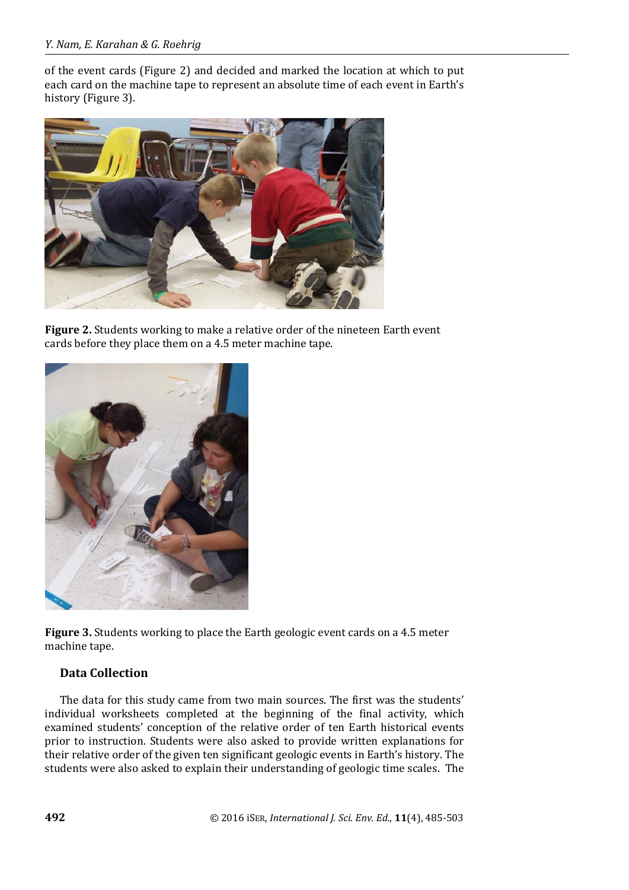of the event cards (Figure 2) and decided and marked the location at which to put each card on the machine tape to represent an absolute time of each event in Earth's history (Figure 3).



**Figure 2.** Students working to make a relative order of the nineteen Earth event cards before they place them on a 4.5 meter machine tape.



**Figure 3.** Students working to place the Earth geologic event cards on a 4.5 meter machine tape.

# **Data Collection**

The data for this study came from two main sources. The first was the students' individual worksheets completed at the beginning of the final activity, which examined students' conception of the relative order of ten Earth historical events prior to instruction. Students were also asked to provide written explanations for their relative order of the given ten significant geologic events in Earth's history. The students were also asked to explain their understanding of geologic time scales. The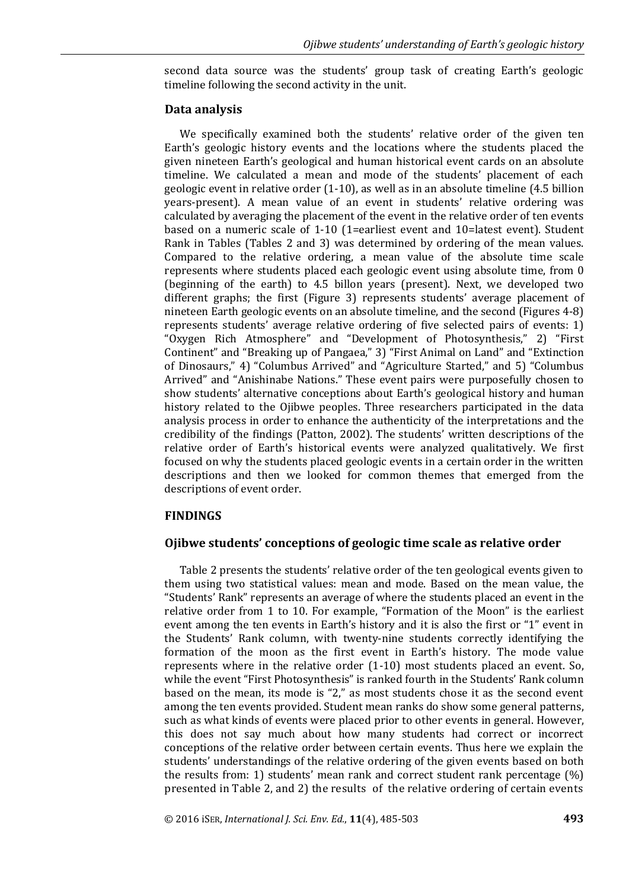second data source was the students' group task of creating Earth's geologic timeline following the second activity in the unit.

## **Data analysis**

We specifically examined both the students' relative order of the given ten Earth's geologic history events and the locations where the students placed the given nineteen Earth's geological and human historical event cards on an absolute timeline. We calculated a mean and mode of the students' placement of each geologic event in relative order (1-10), as well as in an absolute timeline (4.5 billion years-present). A mean value of an event in students' relative ordering was calculated by averaging the placement of the event in the relative order of ten events based on a numeric scale of 1-10 (1=earliest event and 10=latest event). Student Rank in Tables (Tables 2 and 3) was determined by ordering of the mean values. Compared to the relative ordering, a mean value of the absolute time scale represents where students placed each geologic event using absolute time, from 0 (beginning of the earth) to 4.5 billon years (present). Next, we developed two different graphs; the first (Figure 3) represents students' average placement of nineteen Earth geologic events on an absolute timeline, and the second (Figures 4-8) represents students' average relative ordering of five selected pairs of events: 1) "Oxygen Rich Atmosphere" and "Development of Photosynthesis," 2) "First Continent" and "Breaking up of Pangaea," 3) "First Animal on Land" and "Extinction of Dinosaurs," 4) "Columbus Arrived" and "Agriculture Started," and 5) "Columbus Arrived" and "Anishinabe Nations." These event pairs were purposefully chosen to show students' alternative conceptions about Earth's geological history and human history related to the Ojibwe peoples. Three researchers participated in the data analysis process in order to enhance the authenticity of the interpretations and the credibility of the findings (Patton, 2002). The students' written descriptions of the relative order of Earth's historical events were analyzed qualitatively. We first focused on why the students placed geologic events in a certain order in the written descriptions and then we looked for common themes that emerged from the descriptions of event order.

# **FINDINGS**

# **Ojibwe students' conceptions of geologic time scale as relative order**

Table 2 presents the students' relative order of the ten geological events given to them using two statistical values: mean and mode. Based on the mean value, the "Students' Rank" represents an average of where the students placed an event in the relative order from 1 to 10. For example, "Formation of the Moon" is the earliest event among the ten events in Earth's history and it is also the first or "1" event in the Students' Rank column, with twenty-nine students correctly identifying the formation of the moon as the first event in Earth's history. The mode value represents where in the relative order (1-10) most students placed an event. So, while the event "First Photosynthesis" is ranked fourth in the Students' Rank column based on the mean, its mode is "2," as most students chose it as the second event among the ten events provided. Student mean ranks do show some general patterns, such as what kinds of events were placed prior to other events in general. However, this does not say much about how many students had correct or incorrect conceptions of the relative order between certain events. Thus here we explain the students' understandings of the relative ordering of the given events based on both the results from: 1) students' mean rank and correct student rank percentage (%) presented in Table 2, and 2) the results of the relative ordering of certain events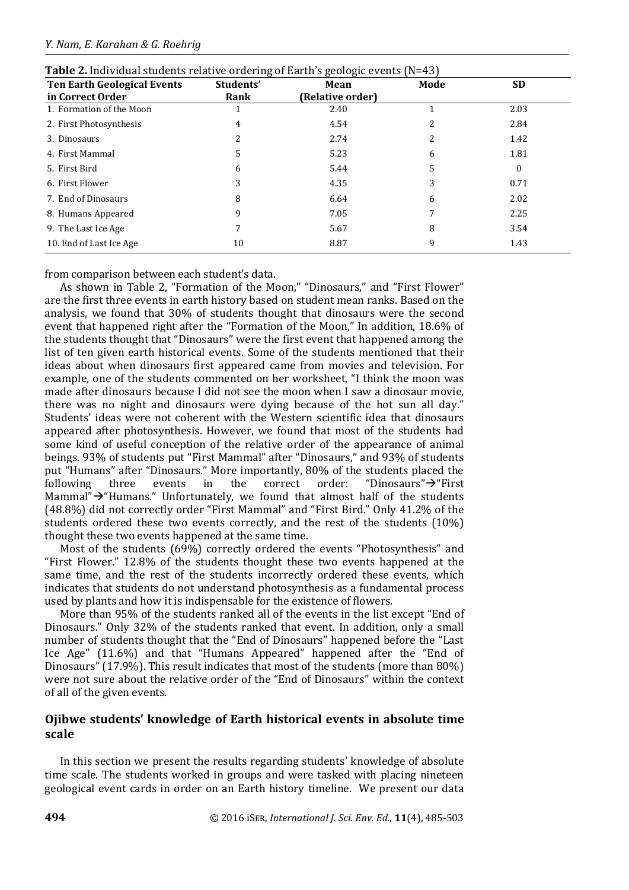| <b>Ten Earth Geological Events</b> | Students' | Mean             | Mode | <b>SD</b> |  |
|------------------------------------|-----------|------------------|------|-----------|--|
| in Correct Order                   | Rank      | (Relative order) |      |           |  |
| 1. Formation of the Moon           |           | 2.40             |      | 2.03      |  |
| 2. First Photosynthesis            | 4         | 4.54             |      | 2.84      |  |
| 3. Dinosaurs                       |           | 2.74             |      | 1.42      |  |
| 4. First Mammal                    | 5         | 5.23             | 6    | 1.81      |  |
| 5. First Bird                      | 6         | 5.44             | 5    | 0         |  |
| 6. First Flower                    | 3         | 4.35             | 3    | 0.71      |  |
| 7. End of Dinosaurs                | 8         | 6.64             | 6    | 2.02      |  |
| 8. Humans Appeared                 | 9         | 7.05             |      | 2.25      |  |
| 9. The Last Ice Age                |           | 5.67             | 8    | 3.54      |  |
| 10. End of Last Ice Age            | 10        | 8.87             | 9    | 1.43      |  |

**Table 2.** Individual students relative ordering of Earth's geologic events (N=43)

from comparison between each student's data.

As shown in Table 2, "Formation of the Moon," "Dinosaurs," and "First Flower" are the first three events in earth history based on student mean ranks. Based on the analysis, we found that 30% of students thought that dinosaurs were the second event that happened right after the "Formation of the Moon," In addition, 18.6% of the students thought that "Dinosaurs" were the first event that happened among the list of ten given earth historical events. Some of the students mentioned that their ideas about when dinosaurs first appeared came from movies and television. For example, one of the students commented on her worksheet, "I think the moon was made after dinosaurs because I did not see the moon when I saw a dinosaur movie, there was no night and dinosaurs were dying because of the hot sun all day." Students' ideas were not coherent with the Western scientific idea that dinosaurs appeared after photosynthesis. However, we found that most of the students had some kind of useful conception of the relative order of the appearance of animal beings. 93% of students put "First Mammal" after "Dinosaurs," and 93% of students put "Humans" after "Dinosaurs." More importantly, 80% of the students placed the following three events in the correct order: "Dinosaurs" $\rightarrow$ "First Mammal" $\rightarrow$ "Humans." Unfortunately, we found that almost half of the students (48.8%) did not correctly order "First Mammal" and "First Bird." Only 41.2% of the students ordered these two events correctly, and the rest of the students (10%) thought these two events happened at the same time.

Most of the students (69%) correctly ordered the events "Photosynthesis" and "First Flower." 12.8% of the students thought these two events happened at the same time, and the rest of the students incorrectly ordered these events, which indicates that students do not understand photosynthesis as a fundamental process used by plants and how it is indispensable for the existence of flowers.

More than 95% of the students ranked all of the events in the list except "End of Dinosaurs." Only 32% of the students ranked that event. In addition, only a small number of students thought that the "End of Dinosaurs" happened before the "Last Ice Age" (11.6%) and that "Humans Appeared" happened after the "End of Dinosaurs" (17.9%). This result indicates that most of the students (more than 80%) were not sure about the relative order of the "End of Dinosaurs" within the context of all of the given events.

# **Ojibwe students' knowledge of Earth historical events in absolute time scale**

In this section we present the results regarding students' knowledge of absolute time scale. The students worked in groups and were tasked with placing nineteen geological event cards in order on an Earth history timeline. We present our data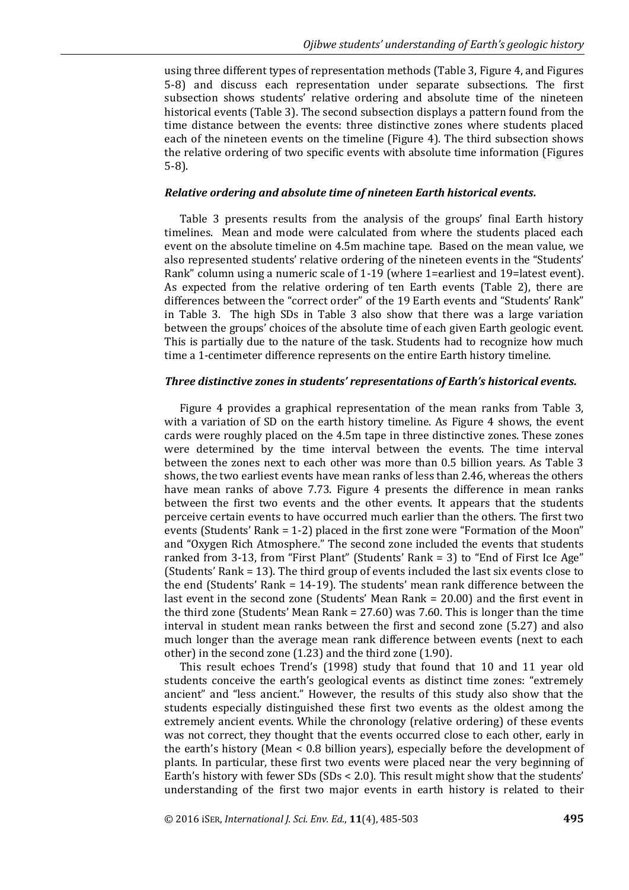using three different types of representation methods (Table 3, Figure 4, and Figures 5-8) and discuss each representation under separate subsections. The first subsection shows students' relative ordering and absolute time of the nineteen historical events (Table 3). The second subsection displays a pattern found from the time distance between the events: three distinctive zones where students placed each of the nineteen events on the timeline (Figure 4). The third subsection shows the relative ordering of two specific events with absolute time information (Figures 5-8).

#### *Relative ordering and absolute time of nineteen Earth historical events.*

Table 3 presents results from the analysis of the groups' final Earth history timelines. Mean and mode were calculated from where the students placed each event on the absolute timeline on 4.5m machine tape. Based on the mean value, we also represented students' relative ordering of the nineteen events in the "Students' Rank" column using a numeric scale of 1-19 (where 1=earliest and 19=latest event). As expected from the relative ordering of ten Earth events (Table 2), there are differences between the "correct order" of the 19 Earth events and "Students' Rank" in Table 3. The high SDs in Table 3 also show that there was a large variation between the groups' choices of the absolute time of each given Earth geologic event. This is partially due to the nature of the task. Students had to recognize how much time a 1-centimeter difference represents on the entire Earth history timeline.

#### *Three distinctive zones in students' representations of Earth's historical events.*

Figure 4 provides a graphical representation of the mean ranks from Table 3, with a variation of SD on the earth history timeline. As Figure 4 shows, the event cards were roughly placed on the 4.5m tape in three distinctive zones. These zones were determined by the time interval between the events. The time interval between the zones next to each other was more than 0.5 billion years. As Table 3 shows, the two earliest events have mean ranks of less than 2.46, whereas the others have mean ranks of above 7.73. Figure 4 presents the difference in mean ranks between the first two events and the other events. It appears that the students perceive certain events to have occurred much earlier than the others. The first two events (Students' Rank = 1-2) placed in the first zone were "Formation of the Moon" and "Oxygen Rich Atmosphere." The second zone included the events that students ranked from 3-13, from "First Plant" (Students' Rank = 3) to "End of First Ice Age" (Students' Rank = 13). The third group of events included the last six events close to the end (Students' Rank = 14-19). The students' mean rank difference between the last event in the second zone (Students' Mean Rank = 20.00) and the first event in the third zone (Students' Mean Rank = 27.60) was 7.60. This is longer than the time interval in student mean ranks between the first and second zone (5.27) and also much longer than the average mean rank difference between events (next to each other) in the second zone (1.23) and the third zone (1.90).

This result echoes Trend's (1998) study that found that 10 and 11 year old students conceive the earth's geological events as distinct time zones: "extremely ancient" and "less ancient." However, the results of this study also show that the students especially distinguished these first two events as the oldest among the extremely ancient events. While the chronology (relative ordering) of these events was not correct, they thought that the events occurred close to each other, early in the earth's history (Mean < 0.8 billion years), especially before the development of plants. In particular, these first two events were placed near the very beginning of Earth's history with fewer SDs (SDs < 2.0). This result might show that the students' understanding of the first two major events in earth history is related to their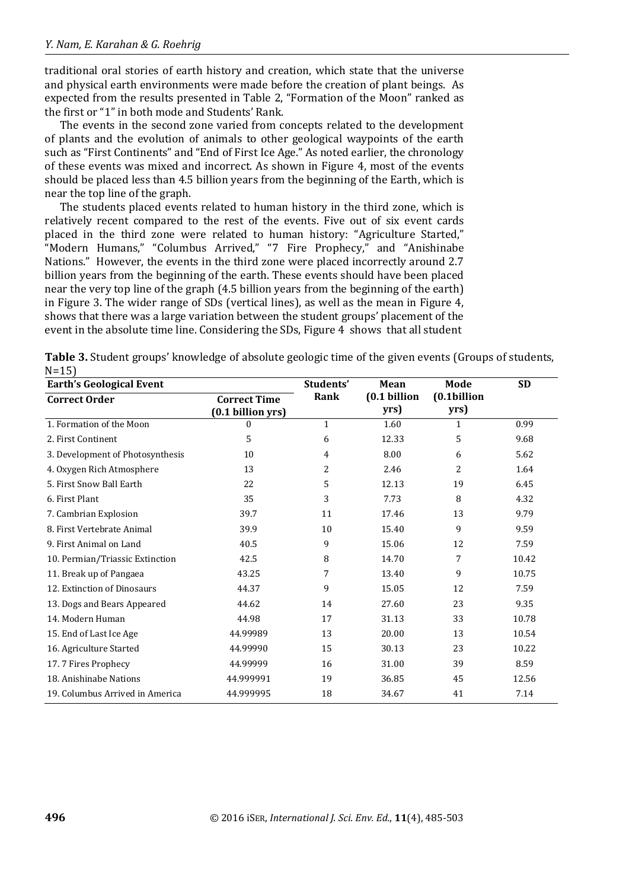traditional oral stories of earth history and creation, which state that the universe and physical earth environments were made before the creation of plant beings. As expected from the results presented in Table 2, "Formation of the Moon" ranked as the first or "1" in both mode and Students' Rank.

The events in the second zone varied from concepts related to the development of plants and the evolution of animals to other geological waypoints of the earth such as "First Continents" and "End of First Ice Age." As noted earlier, the chronology of these events was mixed and incorrect. As shown in Figure 4, most of the events should be placed less than 4.5 billion years from the beginning of the Earth, which is near the top line of the graph.

The students placed events related to human history in the third zone, which is relatively recent compared to the rest of the events. Five out of six event cards placed in the third zone were related to human history: "Agriculture Started," "Modern Humans," "Columbus Arrived," "7 Fire Prophecy," and "Anishinabe Nations." However, the events in the third zone were placed incorrectly around 2.7 billion years from the beginning of the earth. These events should have been placed near the very top line of the graph (4.5 billion years from the beginning of the earth) in Figure 3. The wider range of SDs (vertical lines), as well as the mean in Figure 4, shows that there was a large variation between the student groups' placement of the event in the absolute time line. Considering the SDs, Figure 4 shows that all student

| <b>Earth's Geological Event</b>  |                                          | Students'    | Mean                 | Mode                | <b>SD</b> |
|----------------------------------|------------------------------------------|--------------|----------------------|---------------------|-----------|
| <b>Correct Order</b>             | <b>Correct Time</b><br>(0.1 billion yrs) | Rank         | (0.1 billion<br>yrs) | (0.1billion<br>yrs) |           |
| 1. Formation of the Moon         | 0                                        | $\mathbf{1}$ | 1.60                 | 1                   | 0.99      |
| 2. First Continent               | 5                                        | 6            | 12.33                | 5                   | 9.68      |
| 3. Development of Photosynthesis | 10                                       | 4            | 8.00                 | 6                   | 5.62      |
| 4. Oxygen Rich Atmosphere        | 13                                       | 2            | 2.46                 | 2                   | 1.64      |
| 5. First Snow Ball Earth         | 22                                       | 5            | 12.13                | 19                  | 6.45      |
| 6. First Plant                   | 35                                       | 3            | 7.73                 | 8                   | 4.32      |
| 7. Cambrian Explosion            | 39.7                                     | 11           | 17.46                | 13                  | 9.79      |
| 8. First Vertebrate Animal       | 39.9                                     | 10           | 15.40                | 9                   | 9.59      |
| 9. First Animal on Land          | 40.5                                     | 9            | 15.06                | 12                  | 7.59      |
| 10. Permian/Triassic Extinction  | 42.5                                     | 8            | 14.70                | 7                   | 10.42     |
| 11. Break up of Pangaea          | 43.25                                    | 7            | 13.40                | 9                   | 10.75     |
| 12. Extinction of Dinosaurs      | 44.37                                    | 9            | 15.05                | 12                  | 7.59      |
| 13. Dogs and Bears Appeared      | 44.62                                    | 14           | 27.60                | 23                  | 9.35      |
| 14. Modern Human                 | 44.98                                    | 17           | 31.13                | 33                  | 10.78     |
| 15. End of Last Ice Age          | 44.99989                                 | 13           | 20.00                | 13                  | 10.54     |
| 16. Agriculture Started          | 44.99990                                 | 15           | 30.13                | 23                  | 10.22     |
| 17.7 Fires Prophecy              | 44.99999                                 | 16           | 31.00                | 39                  | 8.59      |
| 18. Anishinabe Nations           | 44.999991                                | 19           | 36.85                | 45                  | 12.56     |
| 19. Columbus Arrived in America  | 44.999995                                | 18           | 34.67                | 41                  | 7.14      |

**Table 3.** Student groups' knowledge of absolute geologic time of the given events (Groups of students,  $N=15$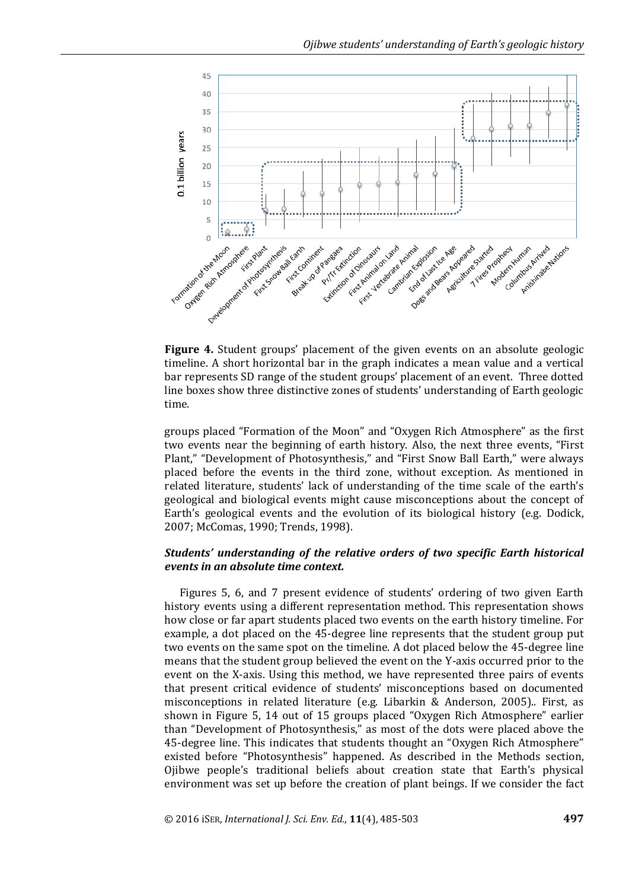

**Figure 4.** Student groups' placement of the given events on an absolute geologic timeline. A short horizontal bar in the graph indicates a mean value and a vertical bar represents SD range of the student groups' placement of an event. Three dotted line boxes show three distinctive zones of students' understanding of Earth geologic time.

groups placed "Formation of the Moon" and "Oxygen Rich Atmosphere" as the first two events near the beginning of earth history. Also, the next three events, "First Plant," "Development of Photosynthesis," and "First Snow Ball Earth," were always placed before the events in the third zone, without exception. As mentioned in related literature, students' lack of understanding of the time scale of the earth's geological and biological events might cause misconceptions about the concept of Earth's geological events and the evolution of its biological history (e.g. Dodick, 2007; McComas, 1990; Trends, 1998).

## *Students' understanding of the relative orders of two specific Earth historical events in an absolute time context.*

Figures 5, 6, and 7 present evidence of students' ordering of two given Earth history events using a different representation method. This representation shows how close or far apart students placed two events on the earth history timeline. For example, a dot placed on the 45-degree line represents that the student group put two events on the same spot on the timeline. A dot placed below the 45-degree line means that the student group believed the event on the Y-axis occurred prior to the event on the X-axis. Using this method, we have represented three pairs of events that present critical evidence of students' misconceptions based on documented misconceptions in related literature (e.g. Libarkin & Anderson, 2005).. First, as shown in Figure 5, 14 out of 15 groups placed "Oxygen Rich Atmosphere" earlier than "Development of Photosynthesis," as most of the dots were placed above the 45-degree line. This indicates that students thought an "Oxygen Rich Atmosphere" existed before "Photosynthesis" happened. As described in the Methods section, Ojibwe people's traditional beliefs about creation state that Earth's physical environment was set up before the creation of plant beings. If we consider the fact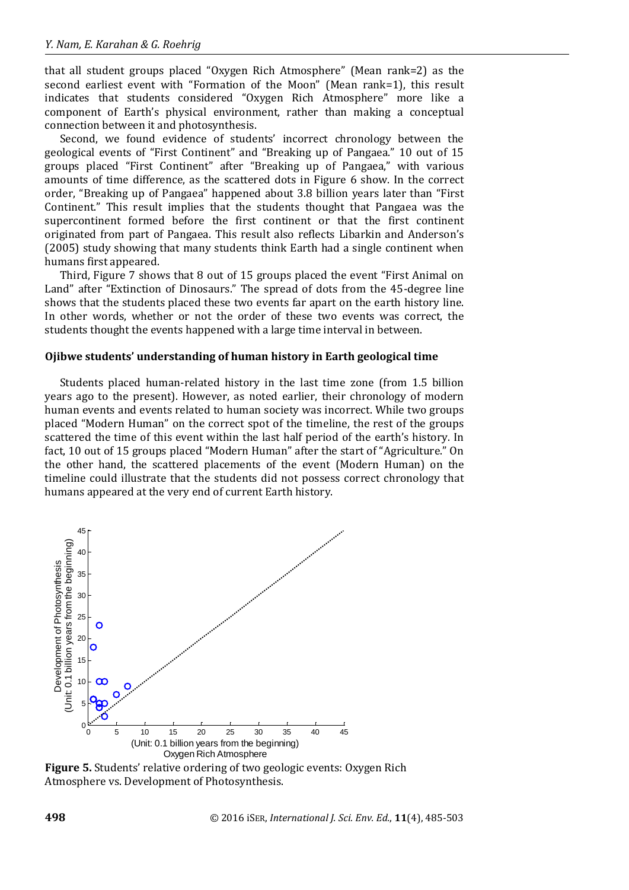that all student groups placed "Oxygen Rich Atmosphere" (Mean rank=2) as the second earliest event with "Formation of the Moon" (Mean rank=1), this result indicates that students considered "Oxygen Rich Atmosphere" more like a component of Earth's physical environment, rather than making a conceptual connection between it and photosynthesis.

Second, we found evidence of students' incorrect chronology between the geological events of "First Continent" and "Breaking up of Pangaea." 10 out of 15 groups placed "First Continent" after "Breaking up of Pangaea," with various amounts of time difference, as the scattered dots in Figure 6 show. In the correct order, "Breaking up of Pangaea" happened about 3.8 billion years later than "First Continent." This result implies that the students thought that Pangaea was the supercontinent formed before the first continent or that the first continent originated from part of Pangaea. This result also reflects Libarkin and Anderson's (2005) study showing that many students think Earth had a single continent when humans first appeared.

Third, Figure 7 shows that 8 out of 15 groups placed the event "First Animal on Land" after "Extinction of Dinosaurs." The spread of dots from the 45-degree line shows that the students placed these two events far apart on the earth history line. In other words, whether or not the order of these two events was correct, the students thought the events happened with a large time interval in between.

#### **Ojibwe students' understanding of human history in Earth geological time**

Students placed human-related history in the last time zone (from 1.5 billion years ago to the present). However, as noted earlier, their chronology of modern human events and events related to human society was incorrect. While two groups placed "Modern Human" on the correct spot of the timeline, the rest of the groups scattered the time of this event within the last half period of the earth's history. In fact, 10 out of 15 groups placed "Modern Human" after the start of "Agriculture." On the other hand, the scattered placements of the event (Modern Human) on the timeline could illustrate that the students did not possess correct chronology that humans appeared at the very end of current Earth history.



**Figure 5.** Students' relative ordering of two geologic events: Oxygen Rich Atmosphere vs. Development of Photosynthesis.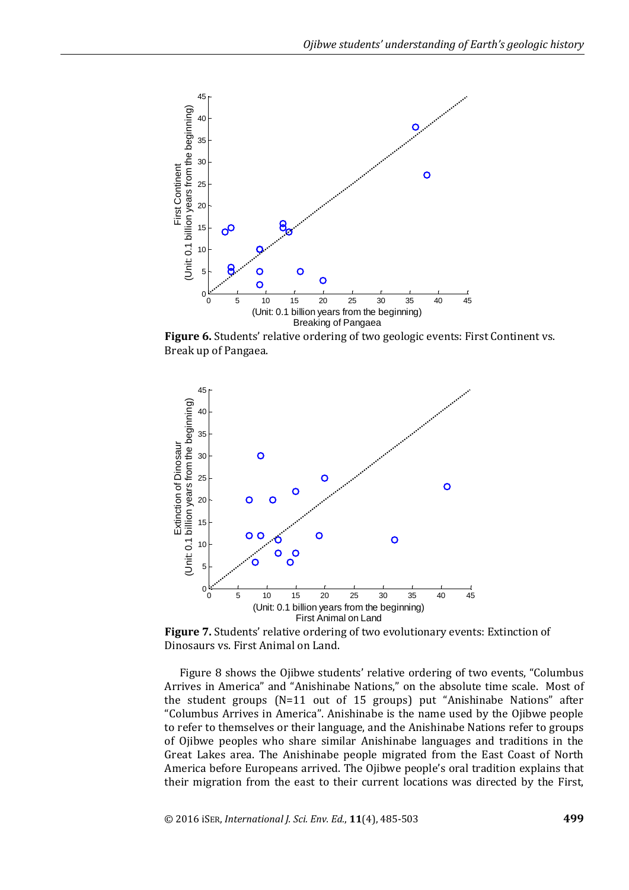

**Figure 6.** Students' relative ordering of two geologic events: First Continent vs. Break up of Pangaea.



**Figure 7.** Students' relative ordering of two evolutionary events: Extinction of Dinosaurs vs. First Animal on Land.

Figure 8 shows the Ojibwe students' relative ordering of two events, "Columbus Arrives in America" and "Anishinabe Nations," on the absolute time scale. Most of the student groups (N=11 out of 15 groups) put "Anishinabe Nations" after "Columbus Arrives in America". Anishinabe is the name used by the Ojibwe people to refer to themselves or their language, and the Anishinabe Nations refer to groups of Ojibwe peoples who share similar Anishinabe languages and traditions in the Great Lakes area. The Anishinabe people migrated from the East Coast of North America before Europeans arrived. The Ojibwe people's oral tradition explains that their migration from the east to their current locations was directed by the First,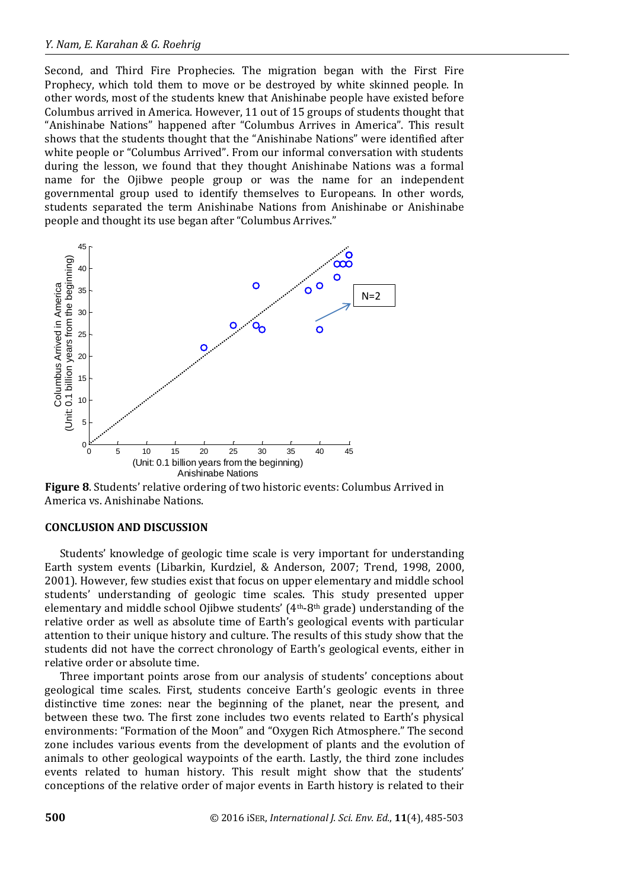Second, and Third Fire Prophecies. The migration began with the First Fire Prophecy, which told them to move or be destroyed by white skinned people. In other words, most of the students knew that Anishinabe people have existed before Columbus arrived in America. However, 11 out of 15 groups of students thought that "Anishinabe Nations" happened after "Columbus Arrives in America". This result shows that the students thought that the "Anishinabe Nations" were identified after white people or "Columbus Arrived". From our informal conversation with students during the lesson, we found that they thought Anishinabe Nations was a formal name for the Ojibwe people group or was the name for an independent governmental group used to identify themselves to Europeans. In other words, students separated the term Anishinabe Nations from Anishinabe or Anishinabe people and thought its use began after "Columbus Arrives."



**Figure 8**. Students' relative ordering of two historic events: Columbus Arrived in America vs. Anishinabe Nations.

## **CONCLUSION AND DISCUSSION**

Students' knowledge of geologic time scale is very important for understanding Earth system events (Libarkin, Kurdziel, & Anderson, 2007; Trend, 1998, 2000, 2001). However, few studies exist that focus on upper elementary and middle school students' understanding of geologic time scales. This study presented upper elementary and middle school Ojibwe students'  $(4<sup>th</sup>-8<sup>th</sup> grade)$  understanding of the relative order as well as absolute time of Earth's geological events with particular attention to their unique history and culture. The results of this study show that the students did not have the correct chronology of Earth's geological events, either in relative order or absolute time.

Three important points arose from our analysis of students' conceptions about geological time scales. First, students conceive Earth's geologic events in three distinctive time zones: near the beginning of the planet, near the present, and between these two. The first zone includes two events related to Earth's physical environments: "Formation of the Moon" and "Oxygen Rich Atmosphere." The second zone includes various events from the development of plants and the evolution of animals to other geological waypoints of the earth. Lastly, the third zone includes events related to human history. This result might show that the students' conceptions of the relative order of major events in Earth history is related to their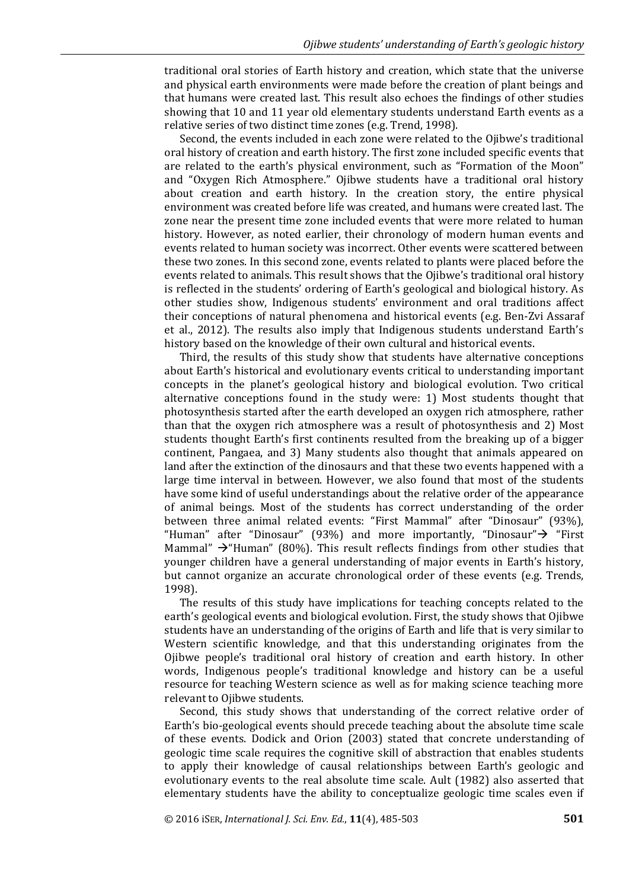traditional oral stories of Earth history and creation, which state that the universe and physical earth environments were made before the creation of plant beings and that humans were created last. This result also echoes the findings of other studies showing that 10 and 11 year old elementary students understand Earth events as a relative series of two distinct time zones (e.g. Trend, 1998).

Second, the events included in each zone were related to the Ojibwe's traditional oral history of creation and earth history. The first zone included specific events that are related to the earth's physical environment, such as "Formation of the Moon" and "Oxygen Rich Atmosphere." Ojibwe students have a traditional oral history about creation and earth history. In the creation story, the entire physical environment was created before life was created, and humans were created last. The zone near the present time zone included events that were more related to human history. However, as noted earlier, their chronology of modern human events and events related to human society was incorrect. Other events were scattered between these two zones. In this second zone, events related to plants were placed before the events related to animals. This result shows that the Ojibwe's traditional oral history is reflected in the students' ordering of Earth's geological and biological history. As other studies show, Indigenous students' environment and oral traditions affect their conceptions of natural phenomena and historical events (e.g. Ben-Zvi Assaraf et al., 2012). The results also imply that Indigenous students understand Earth's history based on the knowledge of their own cultural and historical events.

Third, the results of this study show that students have alternative conceptions about Earth's historical and evolutionary events critical to understanding important concepts in the planet's geological history and biological evolution. Two critical alternative conceptions found in the study were: 1) Most students thought that photosynthesis started after the earth developed an oxygen rich atmosphere, rather than that the oxygen rich atmosphere was a result of photosynthesis and 2) Most students thought Earth's first continents resulted from the breaking up of a bigger continent, Pangaea, and 3) Many students also thought that animals appeared on land after the extinction of the dinosaurs and that these two events happened with a large time interval in between. However, we also found that most of the students have some kind of useful understandings about the relative order of the appearance of animal beings. Most of the students has correct understanding of the order between three animal related events: "First Mammal" after "Dinosaur" (93%), "Human" after "Dinosaur" (93%) and more importantly, "Dinosaur" $\rightarrow$  "First Mammal"  $\rightarrow$ "Human" (80%). This result reflects findings from other studies that younger children have a general understanding of major events in Earth's history, but cannot organize an accurate chronological order of these events (e.g. Trends, 1998).

The results of this study have implications for teaching concepts related to the earth's geological events and biological evolution. First, the study shows that Ojibwe students have an understanding of the origins of Earth and life that is very similar to Western scientific knowledge, and that this understanding originates from the Ojibwe people's traditional oral history of creation and earth history. In other words, Indigenous people's traditional knowledge and history can be a useful resource for teaching Western science as well as for making science teaching more relevant to Ojibwe students.

Second, this study shows that understanding of the correct relative order of Earth's bio-geological events should precede teaching about the absolute time scale of these events. Dodick and Orion (2003) stated that concrete understanding of geologic time scale requires the cognitive skill of abstraction that enables students to apply their knowledge of causal relationships between Earth's geologic and evolutionary events to the real absolute time scale. Ault (1982) also asserted that elementary students have the ability to conceptualize geologic time scales even if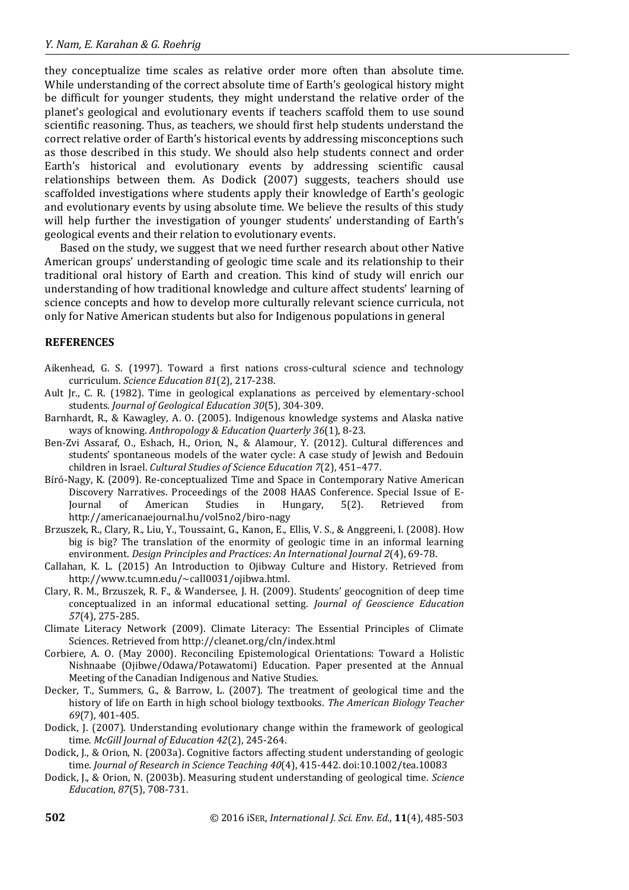they conceptualize time scales as relative order more often than absolute time. While understanding of the correct absolute time of Earth's geological history might be difficult for younger students, they might understand the relative order of the planet's geological and evolutionary events if teachers scaffold them to use sound scientific reasoning. Thus, as teachers, we should first help students understand the correct relative order of Earth's historical events by addressing misconceptions such as those described in this study. We should also help students connect and order Earth's historical and evolutionary events by addressing scientific causal relationships between them. As Dodick (2007) suggests, teachers should use scaffolded investigations where students apply their knowledge of Earth's geologic and evolutionary events by using absolute time. We believe the results of this study will help further the investigation of younger students' understanding of Earth's geological events and their relation to evolutionary events.

Based on the study, we suggest that we need further research about other Native American groups' understanding of geologic time scale and its relationship to their traditional oral history of Earth and creation. This kind of study will enrich our understanding of how traditional knowledge and culture affect students' learning of science concepts and how to develop more culturally relevant science curricula, not only for Native American students but also for Indigenous populations in general

## **REFERENCES**

- Aikenhead, G. S. (1997). Toward a first nations cross-cultural science and technology curriculum. *Science Education 81*(2), 217-238.
- Ault Jr., C. R. (1982). Time in geological explanations as perceived by elementary-school students. *Journal of Geological Education 30*(5), 304-309.
- Barnhardt, R., & Kawagley, A. O. (2005). Indigenous knowledge systems and Alaska native ways of knowing. *Anthropology & Education Quarterly 36*(1), 8-23.
- Ben-Zvi Assaraf, O., Eshach, H., Orion, N., & Alamour, Y. (2012). Cultural differences and students' spontaneous models of the water cycle: A case study of Jewish and Bedouin children in Israel. *Cultural Studies of Science Education 7*(2), 451–477.
- Bíró-Nagy, K. (2009). Re-conceptualized Time and Space in Contemporary Native American Discovery Narratives. Proceedings of the 2008 HAAS Conference. Special Issue of E-Journal of American Studies in Hungary, 5(2). Retrieved from http://americanaejournal.hu/vol5no2/biro-nagy
- Brzuszek, R., Clary, R., Liu, Y., Toussaint, G., Kanon, E., Ellis, V. S., & Anggreeni, I. (2008). How big is big? The translation of the enormity of geologic time in an informal learning environment. *Design Principles and Practices: An International Journal 2*(4), 69-78.
- Callahan, K. L. (2015) An Introduction to Ojibway Culture and History. Retrieved from http://www.tc.umn.edu/~call0031/ojibwa.html.
- Clary, R. M., Brzuszek, R. F., & Wandersee, J. H. (2009). Students' geocognition of deep time conceptualized in an informal educational setting. *Journal of Geoscience Education 57*(4), 275-285.
- Climate Literacy Network (2009). Climate Literacy: The Essential Principles of Climate Sciences. Retrieved from http://cleanet.org/cln/index.html
- Corbiere, A. O. (May 2000). Reconciling Epistemological Orientations: Toward a Holistic Nishnaabe (Ojibwe/Odawa/Potawatomi) Education. Paper presented at the Annual Meeting of the Canadian Indigenous and Native Studies.
- Decker, T., Summers, G., & Barrow, L. (2007). The treatment of geological time and the history of life on Earth in high school biology textbooks. *The American Biology Teacher 69*(7), 401-405.
- Dodick, J. (2007). Understanding evolutionary change within the framework of geological time. *McGill Journal of Education 42*(2), 245-264.
- Dodick, J., & Orion, N. (2003a). Cognitive factors affecting student understanding of geologic time. *Journal of Research in Science Teaching 40*(4), 415-442. doi:10.1002/tea.10083
- Dodick, J., & Orion, N. (2003b). Measuring student understanding of geological time. *Science Education*, *87*(5), 708-731.